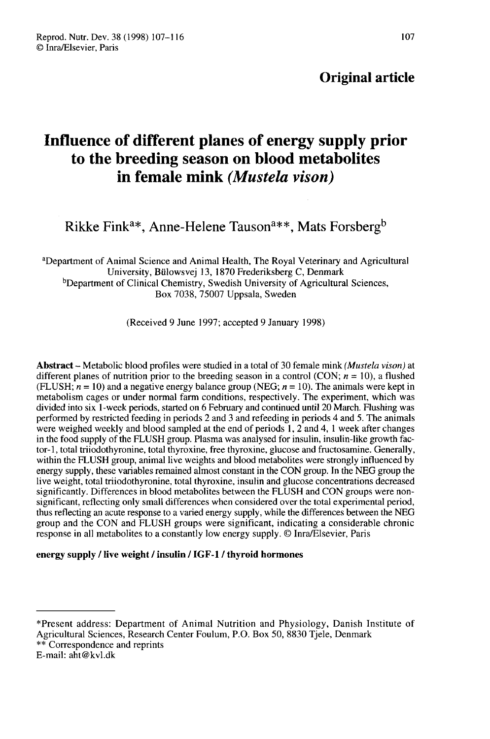# Original article

# Influence of different planes of energy supply prior to the breeding season on blood metabolites in female mink (Mustela vison) in female mink (*Mustela vison*)<br>Rikke Fink<sup>a\*</sup>, Anne-Helene Tauson<sup>a\*\*</sup>, Mats Forsberg<sup>1</sup>

<sup>a</sup>Department of Animal Science and Animal Health, The Royal Veterinary and Agricultural Rikke Fi<br>artment of A<br>b<br>Department University, Bülowsvej 13, 1870 Frederiksberg C, Denmark <sup>b</sup>Department of Clinical Chemistry, Swedish University of Agricultural Sciences, Box 7038, 75007 Uppsala, Sweden

(Received 9 June 1997; accepted 9 January 1998)

Abstract - Metabolic blood profiles were studied in a total of 30 female mink (Mustela vison) at different planes of nutrition prior to the breeding season in a control (CON;  $n = 10$ ), a flushed (FLUSH;  $n = 10$ ) and a negative energy balance group (NEG;  $n = 10$ ). The animals were kept in metabolism cages or under normal farm conditions, respectively. The experiment, which was divided into six 1-week periods, started on 6 February and continued until 20 March. Flushing was performed by restricted feeding in periods 2 and 3 and refeeding in periods 4 and 5. The animals were weighed weekly and blood sampled at the end of periods 1, 2 and 4, 1 week after changes in the food supply of the FLUSH group. Plasma was analysed for insulin, insulin-like growth factor-1, total triiodothyronine, total thyroxine, free thyroxine, glucose and fructosamine. Generally, within the FLUSH group, animal live weights and blood metabolites were strongly influenced by energy supply, these variables remained almost constant in the CON group. In the NEG group the live weight, total triiodothyronine, total thyroxine, insulin and glucose concentrations decreased significantly. Differences in blood metabolites between the FLUSH and CON groups were nonsignificant, reflecting only small differences when considered over the total experimental period, thus reflecting an acute response to a varied energy supply, while the differences between the NEG group and the CON and FLUSH groups were significant, indicating a considerable chronic response in all metabolites to a constantly low energy supply. © Inra/Elsevier, Paris

### energy supply / live weight / insulin / IGF-1 / thyroid hormones

<sup>\*</sup>Present address: Department of Animal Nutrition and Physiology, Danish Institute of Agricultural Sciences, Research Center Foulum, P.O. Box 50, 8830 Tjele, Denmark \*\* Correspondence and reprints

E-mail: aht@kvl.dk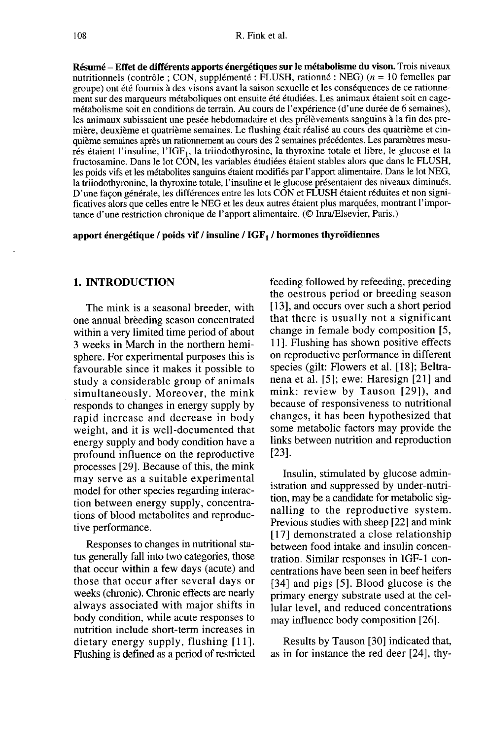Résumé - Effet de différents apports énergétiques sur le métabolisme du vison. Trois niveaux nutritionnels (contrôle ; CON, supplémenté : FLUSH, rationné : NEG) (n = 10 femelles par groupe) ont été fournis à des visons avant la saison sexuelle et les conséquences de ce rationnement sur des marqueurs métaboliques ont ensuite été étudiées. Les animaux étaient soit en cagemétabolisme soit en conditions de terrain. Au cours de l'expérience (d'une durée de 6 semaines), les animaux subissaient une pesée hebdomadaire et des prélèvements sanguins à la fin des première, deuxième et quatrième semaines. Le flushing était réalisé au cours des quatrième et cinquième semaines après un rationnement au cours des 2 semaines précédentes. Les paramètres mesurés étaient l'insuline, l'IGF<sub>1</sub>, la triiodothyrosine, la thyroxine totale et libre, le glucose et la fructosamine. Dans le lot CON, les variables étudiées étaient stables alors que dans le FLUSH, les poids vifs et les métabolites sanguins étaient modifiés par l'apport alimentaire. Dans le lot NEG, la triiodothyronine, la thyroxine totale, l'insuline et le glucose présentaient des niveaux diminués. D'une façon générale, les différences entre les lots CON et FLUSH étaient réduites et non significatives alors que celles entre le NEG et les deux autres étaient plus marquées, montrant l'impor tance d'une restriction chronique de l'apport alimentaire. (@ Inra/Elsevier, Paris.)

apport énergétique / poids vif / insuline /  $IGF<sub>1</sub>$  / hormones thyroïdiennes

## 1. INTRODUCTION

The mink is a seasonal breeder, with one annual breeding season concentrated within a very limited time period of about 3 weeks in March in the northern hemisphere. For experimental purposes this is favourable since it makes it possible to study a considerable group of animals simultaneously. Moreover, the mink responds to changes in energy supply by rapid increase and decrease in body weight, and it is well-documented that energy supply and body condition have a profound influence on the reproductive processes [29]. Because of this, the mink may serve as a suitable experimental model for other species regarding interaction between energy supply, concentrations of blood metabolites and reproductive performance.

Responses to changes in nutritional status generally fall into two categories, those that occur within a few days (acute) and those that occur after several days or weeks (chronic). Chronic effects are nearly always associated with major shifts in body condition, while acute responses to nutrition include short-term increases in dietary energy supply, flushing [11]. Flushing is defined as a period of restricted feeding followed by refeeding, preceding the oestrous period or breeding season [13], and occurs over such a short period that there is usually not a significant change in female body composition [5, 11]. Flushing has shown positive effects on reproductive performance in different species (gilt: Flowers et al. [18]; Beltranena et al. [5]; ewe: Haresign [21] and mink: review by Tauson [29]), and because of responsiveness to nutritional changes, it has been hypothesized that some metabolic factors may provide the links between nutrition and reproduction [23].

Insulin, stimulated by glucose administration and suppressed by under-nutrition, may be a candidate for metabolic signalling to the reproductive system. Previous studies with sheep [22] and mink [17] demonstrated a close relationship between food intake and insulin concentration. Similar responses in IGF-1 concentrations have been seen in beef heifers [34] and pigs [5]. Blood glucose is the primary energy substrate used at the cellular level, and reduced concentrations may influence body composition [26].

Results by Tauson [30] indicated that, as in for instance the red deer [24], thy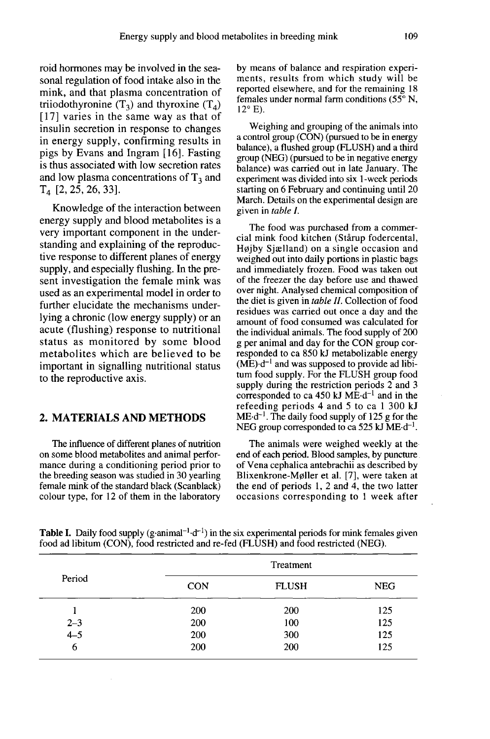roid hormones may be involved in the seasonal regulation of food intake also in the mink, and that plasma concentration of triiodothyronine  $(T_3)$  and thyroxine  $(T_4)$ [17] varies in the same way as that of insulin secretion in response to changes in energy supply, confirming results in pigs by Evans and Ingram [16]. Fasting is thus associated with low secretion rates and low plasma concentrations of  $T_3$  and T4 [2, 25, 26, 33].

Knowledge of the interaction between energy supply and blood metabolites is a very important component in the understanding and explaining of the reproductive response to different planes of energy supply, and especially flushing. In the pre sent investigation the female mink was used as an experimental model in order to further elucidate the mechanisms underlying a chronic (low energy supply) or an acute (flushing) response to nutritional status as monitored by some blood metabolites which are believed to be important in signalling nutritional status to the reproductive axis.

# 2. MATERIALS AND METHODS

The influence of different planes of nutrition on some blood metabolites and animal perfor mance during a conditioning period prior to the breeding season was studied in 30 yearling female mink of the standard black (Scanblack) colour type, for 12 of them in the laboratory

by means of balance and respiration experiments, results from which study will be reported elsewhere, and for the remaining 18 females under normal farm conditions (55° N,  $12^{\circ}$  E).

Weighing and grouping of the animals into a control group (CON) (pursued to be in energy balance), a flushed group (FLUSH) and a third group (NEG) (pursued to be in negative energy balance) was carried out in late January. The experiment was divided into six 1-week periods starting on 6 February and continuing until 20 March. Details on the experimental design are given in table I.

The food was purchased from a commercial mink food kitchen (Stårup fodercental, Højby Sjælland) on a single occasion and weighed out into daily portions in plastic bags and immediately frozen. Food was taken out of the freezer the day before use and thawed over night. Analysed chemical composition of the diet is given in table II. Collection of food residues was carried out once a day and the amount of food consumed was calculated for the individual animals. The food supply of 200 g per animal and day for the CON group corresponded to ca 850 kJ metabolizable energy  $(ME) \cdot d^{-1}$  and was supposed to provide ad libitum food supply. For the FLUSH group food supply during the restriction periods 2 and 3 corresponded to ca 450 kJ  $ME \cdot d^{-1}$  and in the refeeding periods 4 and 5 to ca 1 300 kJ  $ME \cdot d^{-1}$ . The daily food supply of 125 g for the NEG group corresponded to ca 525 kJ  $ME \cdot d^{-1}$ .

The animals were weighed weekly at the end of each period. Blood samples, by puncture of Vena cephalica antebrachii as described by tum food supply. For the FLUSH group food<br>supply during the restriction periods 2 and 3<br>corresponded to ca 450 kJ ME-d<sup>-1</sup> and in the<br>refeeding periods 4 and 5 to ca 1 300 kJ<br>ME-d<sup>-1</sup>. The daily food supply of 125 g for t the end of periods 1, 2 and 4, the two latter occasions corresponding to 1 week after

|         |            | Treatment    |            |
|---------|------------|--------------|------------|
| Period  | <b>CON</b> | <b>FLUSH</b> | <b>NEG</b> |
|         | 200        | 200          | 125        |
| $2 - 3$ | 200        | 100          | 125        |
| $4 - 5$ | 200        | 300          | 125        |
| 6       | 200        | 200          | 125        |

**Table I.** Daily food supply  $(g \cdot \text{animal}^{-1} \cdot d^{-1})$  in the six experimental periods for mink females given food ad libitum (CON), food restricted and re-fed (FLUSH) and food restricted (NEG).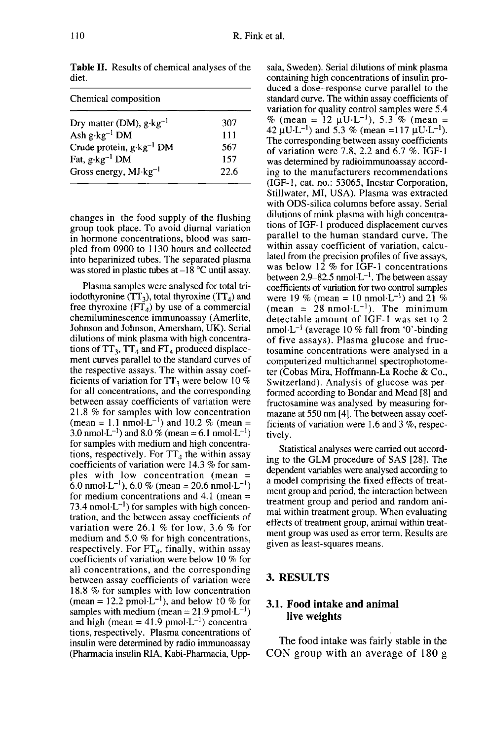22.6

Chemical composition Dry matter (DM),  $g \cdot kg^{-1}$ 307 Ash  $g \cdot kg^{-1}$  DM 111 Crude protein, g·kg<sup>-1</sup> DM 567 Fat,  $g \cdot kg^{-1}$  DM 157

Gross energy,  $MJ·kg<sup>-1</sup>$ 

Table II. Results of chemical analyses of the diet.

changes in the food supply of the flushing group took place. To avoid diurnal variation in hormone concentrations, blood was sampled from 0900 to 1130 hours and collected into heparinized tubes. The separated plasma was stored in plastic tubes at  $-18$  °C until assay.

Plasma samples were analysed for total triwas stored in plastic thocs at  $-18$  C difficult assay.<br>
Plasma samples were analysed for total tri-<br>
iodothyronine (TT<sub>3</sub>), total thyroxine (TT<sub>4</sub>) and<br>
free thyroxine (FT<sub>4</sub>) by use of a commercial Plasma samples were analysed for total tri-<br>iodothyronine  $(TT_3)$ , total thyroxine  $(TT_4)$  and<br>free thyroxine  $(FT_4)$  by use of a commercial<br>chemiluminescence immunoassay (Amerlite chemiluminescence immunoassay (Amerlite, Johnson and Johnson, Amersham, UK). Serial dilutions of mink plasma with high concentra-The Theorem and Johnson, Amersham, UK). Serial<br>dilutions of mink plasma with high concentra-<br>tions of TT<sub>3</sub>, TT<sub>4</sub> and FT<sub>4</sub> produced displace-<br>ment curves parallel to the standard curves of the respective assays. The within assay coefthe respective assays. The within assay coef-<br>ficients of variation for TT<sub>3</sub> were below 10 %<br>for all concentrations, and the corresponding<br>between assay coefficients of variation were<br>21.8 % for samples with low concentr for all concentrations, and the corresponding between assay coefficients of variation were 21.8 % for samples with low concentration for samples with medium and high concentrafor all concentrations, and the corresponding<br>between assay coefficients of variation were<br>21.8 % for samples with low concentration<br>(mean = 1.1 nmol·L<sup>-1</sup>) and 10.2 % (mean =<br>3.0 nmol·L<sup>-1</sup>) and 8.0 % (mean = 6.1 nmol·L<sup></sup> and  $8.0\%$  (mean = 6.1) For samples with medium and high concentra-<br>for samples with medium and high concentra-<br>tions, respectively. For  $TT_4$  the within assay<br>coefficients of variation were 14.3 % for sam-<br>ples with low concentration (mean =<br>6. coefficients of variation were 14.3 % for samples with low concentration (mean = for medium concentrations and  $4.1$  (mean  $=$  $= 20.6$ 73.4 nmol $\cdot$ L<sup>-1</sup>) for samples with high concentration, and the between assay coefficients of variation were 26.1 % for low, 3.6 % for medium and 5.0 % for high concentrations, respectively. For  $FT_4$ , finally, within assay coefficients of variation were below 10 % for all concentrations, and the corresponding between assay coefficients of variation were 18.8 % for samples with low concentration coefficients of variation were below 10 % for<br>all concentrations, and the corresponding<br>between assay coefficients of variation were<br>18.8 % for samples with low concentration<br>(mean = 12.2 pmol-L<sup>-1</sup>), and below 10 % for<br>s samples with medium (mean =  $21.9$  pmol·L<sup>-1</sup>)<br>and high (mean =  $41.9$  pmol·L<sup>-1</sup>) concentrabetween assay coefficients of variation were<br>18.8 % for samples with low concentration<br>(mean = 12.2 pmol-L<sup>-1</sup>), and below 10 % for<br>samples with medium (mean = 21.9 pmol-L<sup>-1</sup>)<br>and high (mean = 41.9 pmol-L<sup>-1</sup>) concentrations, respectively. Plasma concentrations of insulin were determined by radio immunoassay (Pharmacia insulin RIA, Kabi-Pharmacia, Uppsala, Sweden). Serial dilutions of mink plasma containing high concentrations of insulin produced a dose-response curve parallel to the standard curve. The within assay coefficients of variation for quality control samples were 5.4 % (mean = 12  $\mu U \cdot L^{-1}$ ), 5.3 % (mean = standard curve. The within assay coefficients of<br>variation for quality control samples were 5.4<br>% (mean = 12  $\mu$ U·L<sup>-1</sup>), 5.3 % (mean =<br>42  $\mu$ U·L<sup>-1</sup>) and 5.3 % (mean =117  $\mu$ U·L<sup>-1</sup>).<br>The corresponding between assay c The corresponding between assay coefficients of variation were 7.8, 2.2 and 6.7 %. IGF-1 was determined by radioimmunoassay according to the manufacturers recommendations (IGF-1, cat. no.: 53065, Incstar Corporation, Stillwater, MI, USA). Plasma was extracted with ODS-silica columns before assay. Serial dilutions of mink plasma with high concentrations of IGF-1 produced displacement curves parallel to the human standard curve. The within assay coefficient of variation, calculated from the precision profiles of five assays, was below 12 % for IGF-1 concentrations between 2.9–82.5 nmol $\text{L}^{-1}$ . The between assay coefficients of variation for two control samples coefficients of variation for two control samples<br>were 19 % (mean = 10 nmol·L<sup>-1</sup>) and 21 % lated from the precision profiles of five assays,<br>was below 12 % for IGF-1 concentrations<br>between 2.9–82.5 nmol-L<sup>-1</sup>. The between assay<br>coefficients of variation for two control samples<br>were 19 % (mean = 10 nmol-L<sup>-1</sup>) a detectable amount of IGF-1 was set to 2<br>nmol·L<sup>-1</sup> (average 10 % fall from '0'-binding coefficients of variation for two control samples<br>were 19 % (mean = 10 nmol·L<sup>-1</sup>) and 21 %<br>(mean = 28 nmol·L<sup>-1</sup>). The minimum<br>detectable amount of IGF-1 was set to 2<br>nmol·L<sup>-1</sup> (average 10 % fall from '0'-binding<br>of fiv of five assays). Plasma glucose and fructosamine concentrations were analysed in a computerized multichannel spectrophotome ter (Cobas Mira, Hoffmann-La Roche & Co., Switzerland). Analysis of glucose was performed according to Bondar and Mead [8] and fructosamine was analysed by measuring formazane at 550 nm [4]. The between assay coefficients of variation were 1.6 and 3 %, respectively.

Statistical analyses were carried out according to the GLM procedure of SAS [28]. The dependent variables were analysed according to a model comprising the fixed effects of treatment group and period, the interaction between treatment group and period and random animal within treatment group. When evaluating effects of treatment group, animal within treatment group was used as error term. Results are given as least-squares means.

#### 3. RESULTS

# 3.1. Food intake and animal live weights

The food intake was fairly stable in the CON group with an average of 180 g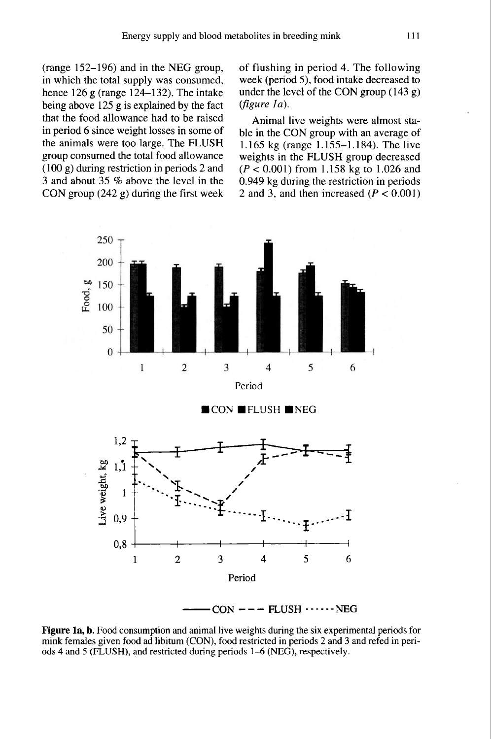(range 152-196) and in the NEG group, in which the total supply was consumed, hence 126 g (range 124–132). The intake being above 125 g is explained by the fact that the food allowance had to be raised in period 6 since weight losses in some of the animals were too large. The FLUSH group consumed the total food allowance (100 g) during restriction in periods 2 and 3 and about 35 % above the level in the CON group (242 g) during the first week of flushing in period 4. The following week (period 5), food intake decreased to under the level of the CON group (143 g)  $(figure \ Ia)$ .

Animal live weights were almost stable in the CON group with an average of 1.165 kg (range 1.155-1.184). The live weights in the FLUSH group decreased  $(P < 0.001)$  from 1.158 kg to 1.026 and 0.949 kg during the restriction in periods 2 and 3, and then increased  $(P < 0.001)$ 



Figure 1a, b. Food consumption and animal live weights during the six experimental periods for mink females given food ad libitum (CON), food restricted in periods 2 and 3 and refed in periods 4 and 5 (FLUSH), and restricted during periods 1–6 (NEG), respectively.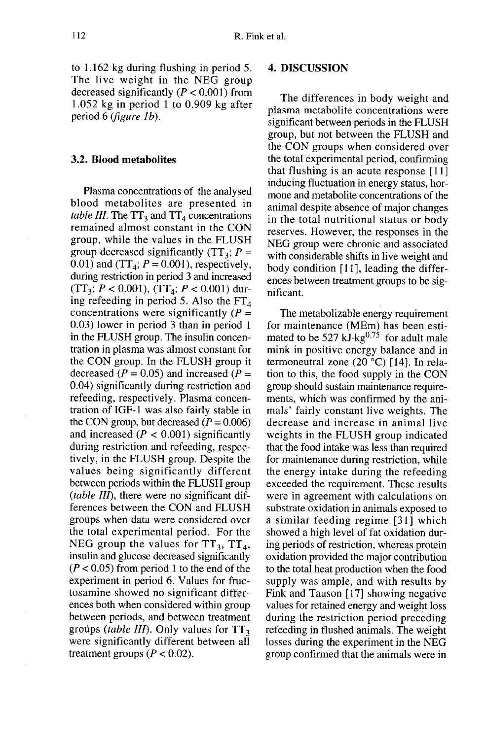to 1.162 kg during flushing in period 5. The live weight in the NEG group decreased significantly ( $P < 0.001$ ) from 1.052 kg in period 1 to 0.909 kg after period 6 (*figure 1b*).

## 3.2. Blood metabolites

Plasma concentrations of the analysed blood metabolites are presented in table III. The  $TT_3$  and  $TT_4$  concentrations remained almost constant in the CON group, while the values in the FLUSH<br>group decreased significantly (TT<sub>3</sub>;  $P = 0.01$ ) and (TT<sub>4</sub>;  $P = 0.001$ ) respectively group decreased significantly (TT<sub>3</sub>;  $P = 0.01$ ) and (TT<sub>4</sub>;  $P = 0.001$ ), respectively, during restriction in period 3 and increased  $(TT_3; P < 0.001)$ ,  $(TT_4; P < 0.001)$  during refeeding in period 5. Also the  $FT<sub>4</sub>$ concentrations were significantly  $(P =$ 0.03) lower in period 3 than in period 1 in the FLUSH group. The insulin concentration in plasma was almost constant for the CON group. In the FLUSH group it decreased ( $P = 0.05$ ) and increased ( $P =$ 0.04) significantly during restriction and refeeding, respectively. Plasma concentration of IGF-1 was also fairly stable in the CON group, but decreased  $(P = 0.006)$ and increased  $(P < 0.001)$  significantly during restriction and refeeding, respectively, in the FLUSH group. Despite the values being significantly different between periods within the FLUSH group (table III), there were no significant differences between the CON and FLUSH groups when data were considered over the total experimental period. For the NEG group the values for  $TT_3$ ,  $TT_4$ , insulin and glucose decreased significantly  $(P < 0.05)$  from period 1 to the end of the experiment in period 6. Values for fructosamine showed no significant differences both when considered within group between periods, and between treatment groups (table III). Only values for  $TT_3$ were significantly different between all treatment groups ( $P < 0.02$ ).

#### 4. DISCUSSION

The differences in body weight and plasma metabolite concentrations were significant between periods in the FLUSH group, but not between the FLUSH and the CON groups when considered over the total experimental period, confirming that flushing is an acute response [11] ] inducing fluctuation in energy status, hormone and metabolite concentrations of the animal despite absence of major changes in the total nutritional status or body reserves. However, the responses in the NEG group were chronic and associated with considerable shifts in live weight and body condition  $[11]$ , leading the differences between treatment groups to be significant.

The metabolizable energy requirement for maintenance (MEm) has been estimated to be 527 kJ $\text{kg}^{0.75}$  for adult male mink in positive energy balance and in termoneutral zone (20 °C) [14]. In relation to this, the food supply in the CON group should sustain maintenance requirements, which was confirmed by the animals' fairly constant live weights. The decrease and increase in animal live weights in the FLUSH group indicated that the food intake was less than required for maintenance during restriction, while the energy intake during the refeeding exceeded the requirement. These results were in agreement with calculations on substrate oxidation in animals exposed to a similar feeding regime [31] which showed a high level of fat oxidation during periods of restriction, whereas protein oxidation provided the major contribution to the total heat production when the food supply was ample, and with results by Fink and Tauson [17] showing negative values for retained energy and weight loss during the restriction period preceding refeeding in flushed animals. The weight losses during the experiment in the NEG group confirmed that the animals were in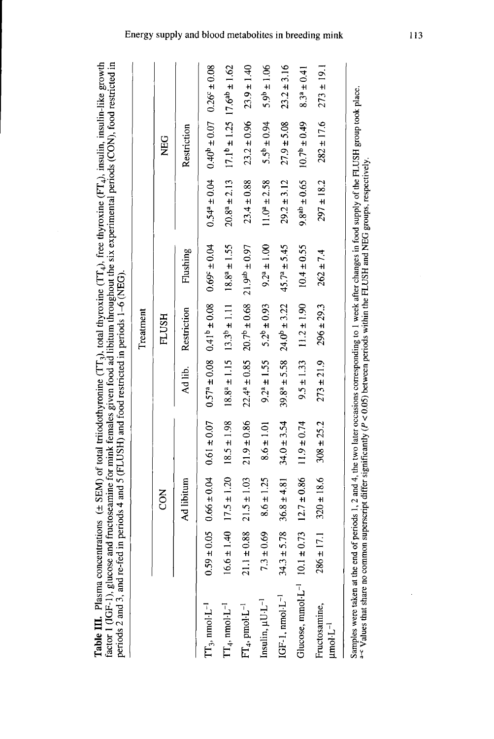| $(FT \cdot)$ insulin insulin-like or<br>ו+ המיקור (דרך).<br>יו<br>$\mathbf{I}$<br>$\cdots$ and $\overline{TT}$ and there $\overline{y}$<br>i<br>Linnaidh | <b>INTERNATIONAL PROPERTY</b>           | ĺ<br>$\frac{1}{2}$<br><b>COOR WORKING</b>                 |
|----------------------------------------------------------------------------------------------------------------------------------------------------------|-----------------------------------------|-----------------------------------------------------------|
| $-$ CEMA of total                                                                                                                                        | or mink tamo                            |                                                           |
| "able III. Plasma conc.                                                                                                                                  | .<br>.<br>.<br>actor 1 (IGF-1), glucose | <b>Controls in the Pre-</b><br>periods 2 and 3, and re-fe |

|                                                                                                                                                                                                                                                                                                                             |                                  |                 |                 |                     | Treatment                                      |                         |                     |                                                 |                         |
|-----------------------------------------------------------------------------------------------------------------------------------------------------------------------------------------------------------------------------------------------------------------------------------------------------------------------------|----------------------------------|-----------------|-----------------|---------------------|------------------------------------------------|-------------------------|---------------------|-------------------------------------------------|-------------------------|
|                                                                                                                                                                                                                                                                                                                             |                                  | δ<br>Ο          |                 |                     | <b>FLUSH</b>                                   |                         |                     | <b>NEG</b>                                      |                         |
|                                                                                                                                                                                                                                                                                                                             |                                  | Ad libitum      |                 | Ad lib.             | Restriction                                    | Flushing                |                     | Restriction                                     |                         |
| $TT_3$ , nmol· $L^{-1}$                                                                                                                                                                                                                                                                                                     | $\pm 0.05$<br>0.59               | $0.66 \pm 0.04$ | $0.61 \pm 0.07$ |                     | $0.57^a \pm 0.08$ 0.41 <sup>b</sup> $\pm 0.08$ | $0.69^{\circ} \pm 0.04$ | $0.54^a \pm 0.04$   | $0.40^{b} \pm 0.07$                             | $0.26^{\circ} \pm 0.08$ |
| $TT_4$ , nmol·L <sup>-1</sup>                                                                                                                                                                                                                                                                                               | $\frac{40}{14}$<br>$\frac{6}{6}$ | $17.5 \pm 1.20$ | $18.5 \pm 1.98$ |                     | $18.8^a \pm 1.15$ $13.3^b \pm 1.11$            | $18.8^a \pm 1.55$       | $20.8^a \pm 2.13$   | $17.1^{\circ} \pm 1.25$ $17.6^{\circ} \pm 1.62$ |                         |
| $FT_4$ , pmol·L <sup>-1</sup>                                                                                                                                                                                                                                                                                               | ±0.88                            | $21.5 \pm 1.03$ | $21.9 \pm 0.86$ | $22.4^{a} \pm 0.85$ | $20.7^{b} \pm 0.68$                            | $21.9^{ab} \pm 0.97$    | $23.4 \pm 0.88$     | $23.2 \pm 0.96$                                 | $23.9 \pm 1.40$         |
| Insulin, µU.L <sup>-1</sup>                                                                                                                                                                                                                                                                                                 | ±0.69<br>$\mathbb{C}^2$          | $8.6 \pm 1.25$  | $8.6 \pm 1.01$  | $9.2^a \pm 1.55$    | $5.2^b \pm 0.93$                               | $9.2^a \pm 1.00$        | $11.0^a \pm 2.58$   | $5.5^{b} \pm 0.94$                              | $5.9^{b} \pm 1.06$      |
| $IGF-1$ , nmol $-L^{-1}$                                                                                                                                                                                                                                                                                                    | ± 5.78<br>34.3                   | $36.8 \pm 4.81$ | $34.0 \pm 3.54$ | $39.8^{a} \pm 5.58$ | $24.0^b \pm 3.22$                              | $45.7^a \pm 5.45$       | $29.2 \pm 3.12$     | $27.9 \pm 5.08$                                 | $23.2 \pm 3.16$         |
| Glucose, mmol·L <sup>-1</sup> 10.1                                                                                                                                                                                                                                                                                          | ± 0.73                           | $12.7 \pm 0.86$ | $11.9 \pm 0.74$ | $9.5 \pm 1.33$      | $11.2 \pm 1.90$                                | $10.4 \pm 0.55$         | $9.8^{ab} \pm 0.65$ | $10.7^{b} \pm 0.49$                             | $8.3^a \pm 0.41$        |
| Fructosamine,<br>$\mu$ mol·L <sup>-1</sup>                                                                                                                                                                                                                                                                                  | $\pm 17.1$<br>286                | $320 \pm 18.6$  | $308 \pm 25.2$  | $273 \pm 21.9$      | $296 \pm 29.3$                                 | $262 \pm 7.4$           | $297 \pm 18.2$      | $282 \pm 17.6$                                  | $273 \pm 19.1$          |
| Samples were taken at the end of periods 1, 2 and 4, the two later occasions corresponding to 1 week after changes in food supply of the FLUSH group took place.<br><sup>a-c</sup> Values that share no common superscript differ significantly $(P < 0.05)$ between periods within the FLUSH and NEG groups, respectively. |                                  |                 |                 |                     |                                                |                         |                     |                                                 |                         |

Energy supply and blood metabolites in breeding mink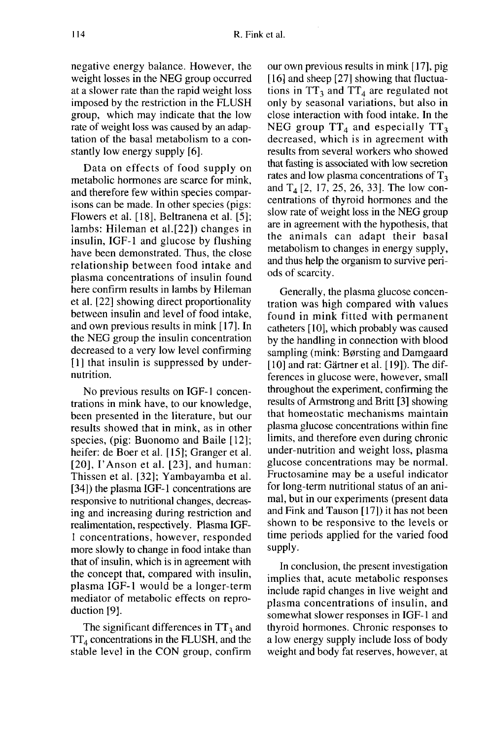negative energy balance. However, the weight losses in the NEG group occurred at a slower rate than the rapid weight loss imposed by the restriction in the FLUSH group, which may indicate that the low rate of weight loss was caused by an adaptation of the basal metabolism to a constantly low energy supply [6].

Data on effects of food supply on metabolic hormones are scarce for mink, and therefore few within species comparisons can be made. In other species (pigs: Flowers et al. [18], Beltranena et al. [5]; lambs: Hileman et al.[22]) changes in insulin, IGF-1 and glucose by flushing have been demonstrated. Thus, the close relationship between food intake and plasma concentrations of insulin found here confirm results in lambs by Hileman et al. [22] showing direct proportionality between insulin and level of food intake, and own previous results in mink [17]. In the NEG group the insulin concentration decreased to a very low level confirming [1] that insulin is suppressed by undernutrition.

No previous results on IGF-1 concentrations in mink have, to our knowledge, been presented in the literature, but our results showed that in mink, as in other species, (pig: Buonomo and Baile [12]; heifer: de Boer et al. [15]; Granger et al.  $[20]$ , I'Anson et al.  $[23]$ , and human: Thissen et al. [32]; Yambayamba et al. [34]) the plasma IGF-1 concentrations are responsive to nutritional changes, decreasing and increasing during restriction and realimentation, respectively. Plasma IGF-1 concentrations, however, responded more slowly to change in food intake than that of insulin, which is in agreement with the concept that, compared with insulin, plasma IGF-1 would be a longer-term mediator of metabolic effects on reproduction [9].

The significant differences in  $TT_3$  and  $TT<sub>4</sub>$  concentrations in the FLUSH, and the stable level in the CON group, confirm our own previous results in mink [17], pig [16] and sheep [27] showing that fluctuations in  $TT_3$  and  $TT_4$  are regulated not only by seasonal variations, but also in close interaction with food intake. In the NEG group  $TT_4$  and especially  $TT_3$ decreased, which is in agreement with results from several workers who showed that fasting is associated with low secretion rates and low plasma concentrations of  $T<sub>3</sub>$ and  $T_4$  [2, 17, 25, 26, 33]. The low concentrations of thyroid hormones and the slow rate of weight loss in the NEG group are in agreement with the hypothesis, that the animals can adapt their basal metabolism to changes in energy supply, and thus help the organism to survive periods of scarcity.

Generally, the plasma glucose concentration was high compared with values found in mink fitted with permanent<br>catheters [10], which probably was caused<br>by the handling in connection with blood<br>sampling (mink: Børsting and Damgaard<br>[10] and rat: Gärtner et al. [19]). The difcatheters [10], which probably was caused by the handling in connection with blood<br>sampling (mink: Børsting and Damgaard  $[10]$  and rat: Gärtner et al.  $[19]$ ). The differences in glucose were, however, small throughout the experiment, confirming the results of Armstrong and Britt [3] showing that homeostatic mechanisms maintain plasma glucose concentrations within fine limits, and therefore even during chronic under-nutrition and weight loss, plasma glucose concentrations may be normal. Fructosamine may be a useful indicator for long-term nutritional status of an animal, but in our experiments (present data and Fink and Tauson [ 17]) it has not been shown to be responsive to the levels or time periods applied for the varied food supply.

In conclusion, the present investigation implies that, acute metabolic responses include rapid changes in live weight and plasma concentrations of insulin, and somewhat slower responses in IGF-1 and thyroid hormones. Chronic responses to a low energy supply include loss of body weight and body fat reserves, however, at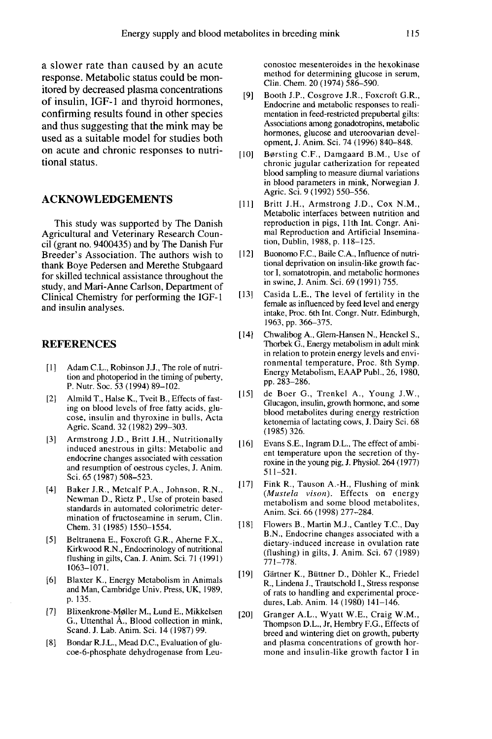a slower rate than caused by an acute response. Metabolic status could be monitored by decreased plasma concentrations of insulin, IGF-1 and thyroid hormones, confirming results found in other species and thus suggesting that the mink may be used as a suitable model for studies both on acute and chronic responses to nutritional status.

#### ACKNOWLEDGEMENTS

This study was supported by The Danish Agricultural and Veterinary Research Council (grant no. 9400435) and by The Danish Fur Breeder's Association. The authors wish to thank Boye Pedersen and Merethe Stubgaard for skilled technical assistance throughout the study, and Mari-Anne Carlson, Department of Clinical Chemistry for performing the IGF-1 and insulin analyses.

#### REFERENCES

- [1] Adam C.L., Robinson J.J., The role of nutrition and photoperiod in the timing of puberty, P. Nutr. Soc. 53 (1994) 89-102.
- [2] Almild T., Halse K., Tveit B., Effects of fasting on blood levels of free fatty acids, glu cose, insulin and thyroxine in bulls, Acta Agric. Scand. 32 ( 1982) 299-303.
- [3] Armstrong J.D., Britt J.H., Nutritionally induced anestrous in gilts: Metabolic and endocrine changes associated with cessation and resumption of oestrous cycles, J. Anim. Sci. 65 (1987) 508-523.
- [4] Baker J.R., Metcalf P.A., Johnson, R.N., Newman D., Rietz P., Use of protein based standards in automated colorimetric determination of fructoseamine in serum, Clin. Chem. 31 (1985) 1550-1554.
- [5] Beltranena E., Foxcroft G.R., Aherne F.X., Kirkwood R.N., Endocrinology of nutritional flushing in gilts, Can. J. Anim. Sci. 71 (1991)  $1063 - 1071.$ Chem. 31 (1985) 1550–1554.<br>
[5] Beltranena E., Foxcroft G.R., Aherne F.X.,<br>
Kirkwood R.N., Endocrinology of nutritional<br>
flushing in gilts, Can. J. Anim. Sci. 71 (1991)<br>
1063–1071.<br>
[6] Blaxter K., Energy Metabolism in Ani
- [6] Blaxter K., Energy Metabolism in Animals and Man, Cambridge Univ. Press, UK, 1989, p. 135.
- G., Uttenthal A., Blood collection in mink, Scand. J. Lab. Anim. Sci. 14 (1987) 99.
- [8] Bondar R.J.L., Mead D.C., Evaluation of glucoe-6-phosphate dehydrogenase from Leu-

conostoc mesenteroides in the hexokinase method for determining glucose in serum, Clin. Chem. 20 ( 1974) 586-590.

- [9] Booth J.P., Cosgrove J.R., Foxcroft G.R., Endocrine and metabolic responses to realimentation in feed-restricted prepubertal gilts: Associations among gonadotropins, metabolic hormones, glucose and uteroovarian development, J. Anim. Sci. 74 (1996) 840-848.
- [10] Borsting C.F., Damgaard B.M., Use of chronic jugular catherization for repeated blood sampling to measure diurnal variations in blood parameters in mink, Norwegian J. Agric. Sci. 9 (1992) 550-556.
- [11] Britt J.H., Armstrong J.D., Cox N.M., Metabolic interfaces between nutrition and reproduction in pigs, l lth Int. Congr. Animal Reproduction and Artificial Insemination, Dublin, 1988, p. 118-125.
- [12] Buonomo F.C., Baile C.A., Influence of nutritional deprivation on insulin-like growth factor I, somatotropin, and metabolic hormones in swine, J. Anim. Sci. 69 (1991) 755.
- [13] Casida L.E., The level of fertility in the female as influenced by feed level and energy intake, Proc. 6th Int. Congr. Nutr. Edinburgh, 1963, pp. 366-375.
- [14] Chwalibog A., Glem-Hansen N., Henckel S., Thorbek G., Energy metabolism in adult mink in relation to protein energy levels and environmental temperature, Proc. 8th Symp. Energy Metabolism, EAAP Publ., 26, 1980, pp. 283-286.
- [15] de Boer G., Trenkel A., Young J.W., Glucagon, insulin, growth hormone, and some blood metabolites during energy restriction ketonemia of lactating cows, J. Dairy Sci. 68 (1985) 326.
- [16] Evans S.E., Ingram D.L., The effect of ambient temperature upon the secretion of thyroxine in the young pig, J. Physiol. 264 (1977) 511-521.
- [17] Fink R., Tauson A.-H., Flushing of mink<br>(*Mustela vison*). Effects on energy metabolism and some blood metabolites, Anim. Sci. 66 (1998) 277-284.
- [18] Flowers B., Martin M.J., Cantley T.C., Day B.N., Endocrine changes associated with a dietary-induced increase in ovulation rate (flushing) in gilts, J. Anim. Sci. 67 (1989) 771-778.
- [19] Gärtner K., Büttner D., Döhler K., Friedel R., Lindena J., Trautschold I., Stress response of rats to handling and experimental procedures, Lab. Anim. 14 (1980) 141-146.
- [20] Granger A.L., Wyatt W.E., Craig W.M., Thompson D.L., Jr, Hembry F.G., Effects of breed and wintering diet on growth, puberty and plasma concentrations of growth hormone and insulin-like growth factor I in